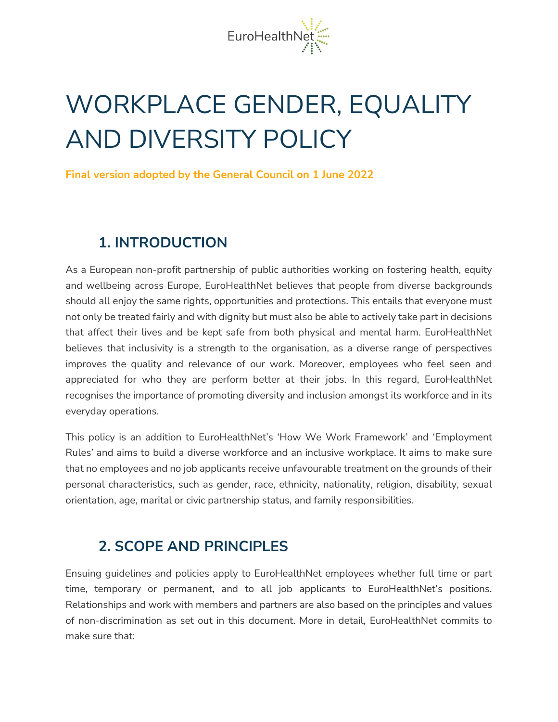

# WORKPLACE GENDER, EQUALITY AND DIVERSITY POLICY

**Final version adopted by the General Council on 1 June 2022**

#### **1. INTRODUCTION**

As a European non-profit partnership of public authorities working on fostering health, equity and wellbeing across Europe, EuroHealthNet believes that people from diverse backgrounds should all enjoy the same rights, opportunities and protections. This entails that everyone must not only be treated fairly and with dignity but must also be able to actively take part in decisions that affect their lives and be kept safe from both physical and mental harm. EuroHealthNet believes that inclusivity is a strength to the organisation, as a diverse range of perspectives improves the quality and relevance of our work. Moreover, employees who feel seen and appreciated for who they are perform better at their jobs. In this regard, EuroHealthNet recognises the importance of promoting diversity and inclusion amongst its workforce and in its everyday operations.

This policy is an addition to EuroHealthNet's 'How We Work Framework' and 'Employment Rules' and aims to build a diverse workforce and an inclusive workplace. It aims to make sure that no employees and no job applicants receive unfavourable treatment on the grounds of their personal characteristics, such as gender, race, ethnicity, nationality, religion, disability, sexual orientation, age, marital or civic partnership status, and family responsibilities.

#### **2. SCOPE AND PRINCIPLES**

Ensuing guidelines and policies apply to EuroHealthNet employees whether full time or part time, temporary or permanent, and to all job applicants to EuroHealthNet's positions. Relationships and work with members and partners are also based on the principles and values of non-discrimination as set out in this document. More in detail, EuroHealthNet commits to make sure that: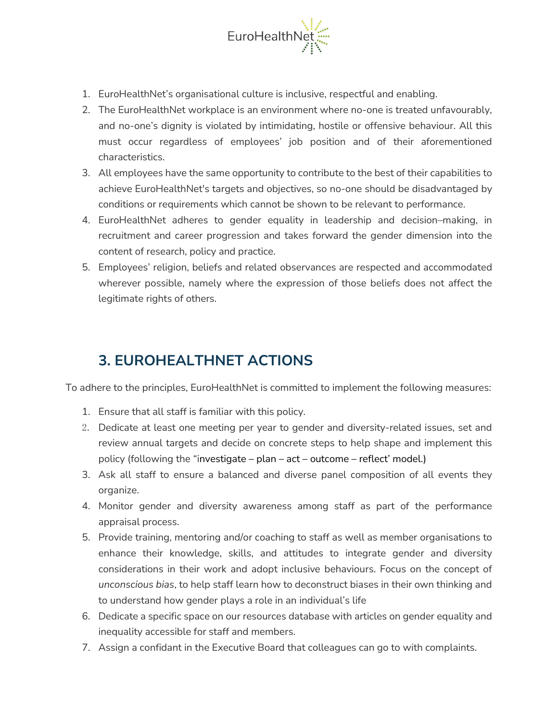

- 1. EuroHealthNet's organisational culture is inclusive, respectful and enabling.
- 2. The EuroHealthNet workplace is an environment where no-one is treated unfavourably, and no-one's dignity is violated by intimidating, hostile or offensive behaviour. All this must occur regardless of employees' job position and of their aforementioned characteristics.
- 3. All employees have the same opportunity to contribute to the best of their capabilities to achieve EuroHealthNet's targets and objectives, so no-one should be disadvantaged by conditions or requirements which cannot be shown to be relevant to performance.
- 4. EuroHealthNet adheres to gender equality in leadership and decision–making, in recruitment and career progression and takes forward the gender dimension into the content of research, policy and practice.
- 5. Employees' religion, beliefs and related observances are respected and accommodated wherever possible, namely where the expression of those beliefs does not affect the legitimate rights of others.

# **3. EUROHEALTHNET ACTIONS**

To adhere to the principles, EuroHealthNet is committed to implement the following measures:

- 1. Ensure that all staff is familiar with this policy.
- 2. Dedicate at least one meeting per year to gender and diversity-related issues, set and review annual targets and decide on concrete steps to help shape and implement this policy (following the "investigate – plan – act – outcome – reflect' model.)
- 3. Ask all staff to ensure a balanced and diverse panel composition of all events they organize.
- 4. Monitor gender and diversity awareness among staff as part of the performance appraisal process.
- 5. Provide training, mentoring and/or coaching to staff as well as member organisations to enhance their knowledge, skills, and attitudes to integrate gender and diversity considerations in their work and adopt inclusive behaviours. Focus on the concept of *unconscious bias*, to help staff learn how to deconstruct biases in their own thinking and to understand how gender plays a role in an individual's life
- 6. Dedicate a specific space on our resources database with articles on gender equality and inequality accessible for staff and members.
- 7. Assign a confidant in the Executive Board that colleagues can go to with complaints.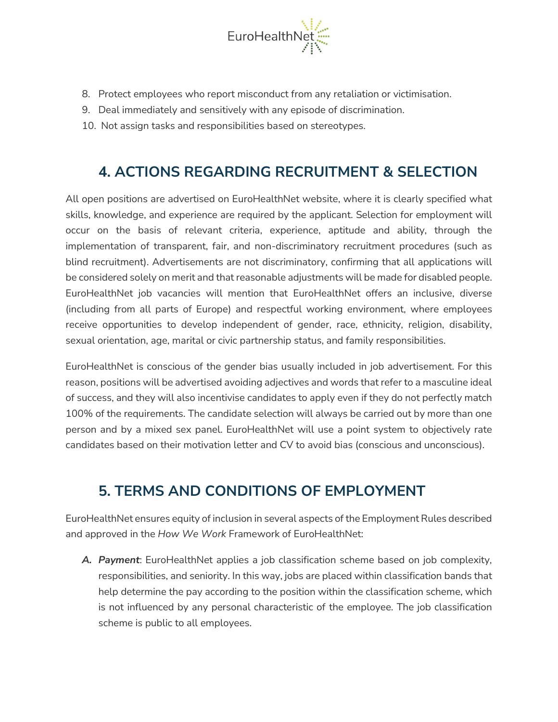

- 8. Protect employees who report misconduct from any retaliation or victimisation.
- 9. Deal immediately and sensitively with any episode of discrimination.
- 10. Not assign tasks and responsibilities based on stereotypes.

## **4. ACTIONS REGARDING RECRUITMENT & SELECTION**

All open positions are advertised on EuroHealthNet website, where it is clearly specified what skills, knowledge, and experience are required by the applicant. Selection for employment will occur on the basis of relevant criteria, experience, aptitude and ability, through the implementation of transparent, fair, and non-discriminatory recruitment procedures (such as blind recruitment). Advertisements are not discriminatory, confirming that all applications will be considered solely on merit and that reasonable adjustments will be made for disabled people. EuroHealthNet job vacancies will mention that EuroHealthNet offers an inclusive, diverse (including from all parts of Europe) and respectful working environment, where employees receive opportunities to develop independent of gender, race, ethnicity, religion, disability, sexual orientation, age, marital or civic partnership status, and family responsibilities.

EuroHealthNet is conscious of the gender bias usually included in job advertisement. For this reason, positions will be advertised avoiding adjectives and words that refer to a masculine ideal of success, and they will also incentivise candidates to apply even if they do not perfectly match 100% of the requirements. The candidate selection will always be carried out by more than one person and by a mixed sex panel. EuroHealthNet will use a point system to objectively rate candidates based on their motivation letter and CV to avoid bias (conscious and unconscious).

## **5. TERMS AND CONDITIONS OF EMPLOYMENT**

EuroHealthNet ensures equity of inclusion in several aspects of the Employment Rules described and approved in the *How We Work* Framework of EuroHealthNet:

*A. Payment*: EuroHealthNet applies a job classification scheme based on job complexity, responsibilities, and seniority. In this way, jobs are placed within classification bands that help determine the pay according to the position within the classification scheme, which is not influenced by any personal characteristic of the employee. The job classification scheme is public to all employees.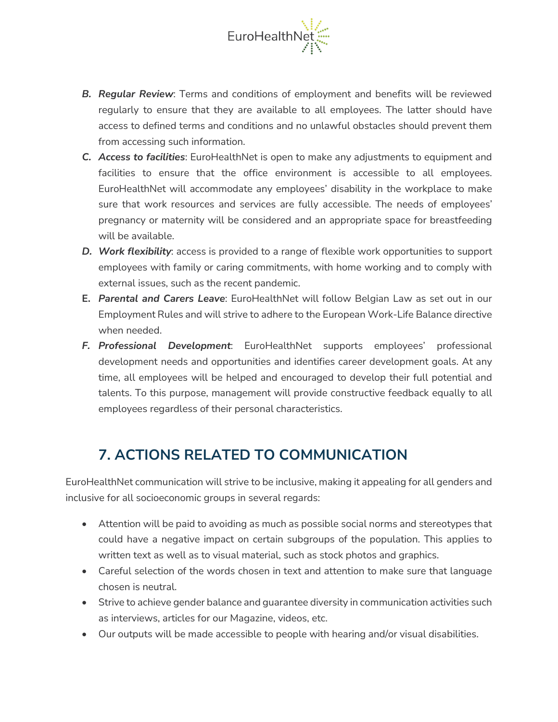

- *B. Regular Review*: Terms and conditions of employment and benefits will be reviewed regularly to ensure that they are available to all employees. The latter should have access to defined terms and conditions and no unlawful obstacles should prevent them from accessing such information.
- *C. Access to facilities*: EuroHealthNet is open to make any adjustments to equipment and facilities to ensure that the office environment is accessible to all employees. EuroHealthNet will accommodate any employees' disability in the workplace to make sure that work resources and services are fully accessible. The needs of employees' pregnancy or maternity will be considered and an appropriate space for breastfeeding will be available.
- *D. Work flexibility*: access is provided to a range of flexible work opportunities to support employees with family or caring commitments, with home working and to comply with external issues, such as the recent pandemic.
- **E.** *Parental and Carers Leave*: EuroHealthNet will follow Belgian Law as set out in our Employment Rules and will strive to adhere to the European Work-Life Balance directive when needed.
- *F. Professional Development*: EuroHealthNet supports employees' professional development needs and opportunities and identifies career development goals. At any time, all employees will be helped and encouraged to develop their full potential and talents. To this purpose, management will provide constructive feedback equally to all employees regardless of their personal characteristics.

## **7. ACTIONS RELATED TO COMMUNICATION**

EuroHealthNet communication will strive to be inclusive, making it appealing for all genders and inclusive for all socioeconomic groups in several regards:

- Attention will be paid to avoiding as much as possible social norms and stereotypes that could have a negative impact on certain subgroups of the population. This applies to written text as well as to visual material, such as stock photos and graphics.
- Careful selection of the words chosen in text and attention to make sure that language chosen is neutral.
- Strive to achieve gender balance and guarantee diversity in communication activities such as interviews, articles for our Magazine, videos, etc.
- Our outputs will be made accessible to people with hearing and/or visual disabilities.